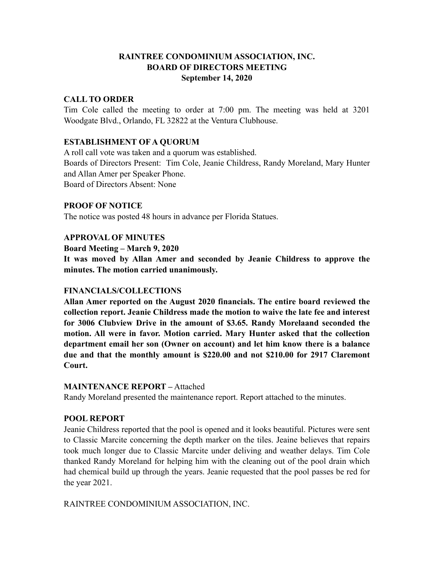# **RAINTREE CONDOMINIUM ASSOCIATION, INC. BOARD OF DIRECTORS MEETING September 14, 2020**

# **CALL TO ORDER**

Tim Cole called the meeting to order at 7:00 pm. The meeting was held at 3201 Woodgate Blvd., Orlando, FL 32822 at the Ventura Clubhouse.

# **ESTABLISHMENT OF A QUORUM**

A roll call vote was taken and a quorum was established. Boards of Directors Present: Tim Cole, Jeanie Childress, Randy Moreland, Mary Hunter and Allan Amer per Speaker Phone. Board of Directors Absent: None

## **PROOF OF NOTICE**

The notice was posted 48 hours in advance per Florida Statues.

## **APPROVAL OF MINUTES**

**Board Meeting – March 9, 2020**

**It was moved by Allan Amer and seconded by Jeanie Childress to approve the minutes. The motion carried unanimously.**

# **FINANCIALS/COLLECTIONS**

**Allan Amer reported on the August 2020 financials. The entire board reviewed the collection report. Jeanie Childress made the motion to waive the late fee and interest for 3006 Clubview Drive in the amount of \$3.65. Randy Morelaand seconded the motion. All were in favor. Motion carried. Mary Hunter asked that the collection department email her son (Owner on account) and let him know there is a balance due and that the monthly amount is \$220.00 and not \$210.00 for 2917 Claremont Court.** 

## **MAINTENANCE REPORT –** Attached

Randy Moreland presented the maintenance report. Report attached to the minutes.

# **POOL REPORT**

Jeanie Childress reported that the pool is opened and it looks beautiful. Pictures were sent to Classic Marcite concerning the depth marker on the tiles. Jeaine believes that repairs took much longer due to Classic Marcite under deliving and weather delays. Tim Cole thanked Randy Moreland for helping him with the cleaning out of the pool drain which had chemical build up through the years. Jeanie requested that the pool passes be red for the year 2021.

RAINTREE CONDOMINIUM ASSOCIATION, INC.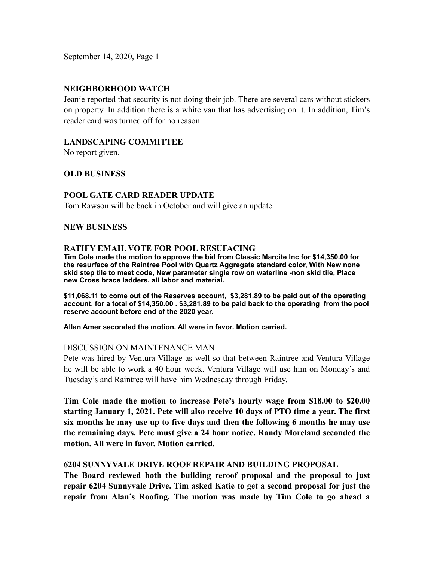September 14, 2020, Page 1

### **NEIGHBORHOOD WATCH**

Jeanie reported that security is not doing their job. There are several cars without stickers on property. In addition there is a white van that has advertising on it. In addition, Tim's reader card was turned off for no reason.

# **LANDSCAPING COMMITTEE**

No report given.

### **OLD BUSINESS**

### **POOL GATE CARD READER UPDATE**

Tom Rawson will be back in October and will give an update.

#### **NEW BUSINESS**

#### **RATIFY EMAIL VOTE FOR POOL RESUFACING**

**Tim Cole made the motion to approve the bid from Classic Marcite Inc for \$14,350.00 for the resurface of the Raintree Pool with Quartz Aggregate standard color, With New none skid step tile to meet code, New parameter single row on waterline -non skid tile, Place new Cross brace ladders. all labor and material.**

**\$11,068.11 to come out of the Reserves account, \$3,281.89 to be paid out of the operating account. for a total of \$14,350.00 . \$3,281.89 to be paid back to the operating from the pool reserve account before end of the 2020 year.**

#### **Allan Amer seconded the motion. All were in favor. Motion carried.**

#### DISCUSSION ON MAINTENANCE MAN

Pete was hired by Ventura Village as well so that between Raintree and Ventura Village he will be able to work a 40 hour week. Ventura Village will use him on Monday's and Tuesday's and Raintree will have him Wednesday through Friday.

**Tim Cole made the motion to increase Pete's hourly wage from \$18.00 to \$20.00 starting January 1, 2021. Pete will also receive 10 days of PTO time a year. The first six months he may use up to five days and then the following 6 months he may use the remaining days. Pete must give a 24 hour notice. Randy Moreland seconded the motion. All were in favor. Motion carried.**

### **6204 SUNNYVALE DRIVE ROOF REPAIR AND BUILDING PROPOSAL**

**The Board reviewed both the building reroof proposal and the proposal to just repair 6204 Sunnyvale Drive. Tim asked Katie to get a second proposal for just the repair from Alan's Roofing. The motion was made by Tim Cole to go ahead a**